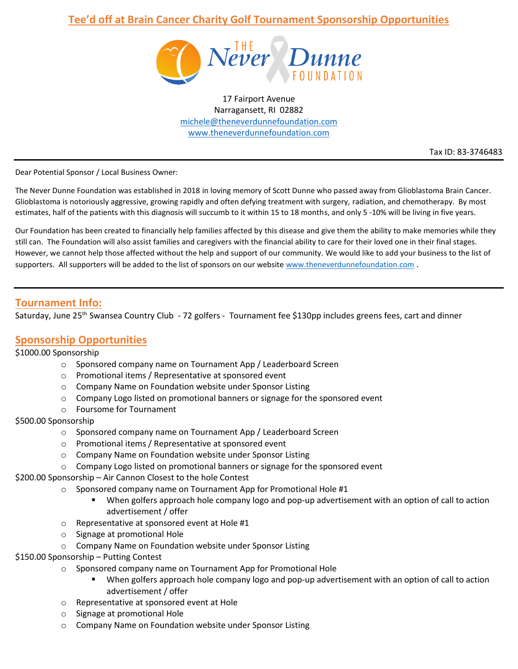# **Tee'd off at Brain Cancer Charity Golf Tournament Sponsorship Opportunities**



17 Fairport Avenue Narragansett, RI 02882 [michele@theneverdunnefoundation.com](mailto:michele@theneverdunnefoundation.com) [www.theneverdunnefoundation.com](http://www.theneverdunnefoundation.com/)

Tax ID: 83-3746483

Dear Potential Sponsor / Local Business Owner:

The Never Dunne Foundation was established in 2018 in loving memory of Scott Dunne who passed away from Glioblastoma Brain Cancer. Glioblastoma is notoriously aggressive, growing rapidly and often defying treatment with surgery, radiation, and chemotherapy. By most estimates, half of the patients with this diagnosis will succumb to it within 15 to 18 months, and only 5 -10% will be living in five years.

Our Foundation has been created to financially help families affected by this disease and give them the ability to make memories while they still can. The Foundation will also assist families and caregivers with the financial ability to care for their loved one in their final stages. However, we cannot help those affected without the help and support of our community. We would like to add your business to the list of supporters. All supporters will be added to the list of sponsors on our website [www.theneverdunnefoundation.com](http://www.theneverdunnefoundation.com/).

## **Tournament Info:**

Saturday, June 25<sup>th</sup> Swansea Country Club - 72 golfers - Tournament fee \$130pp includes greens fees, cart and dinner

## **Sponsorship Opportunities**

### \$1000.00 Sponsorship

- o Sponsored company name on Tournament App / Leaderboard Screen
- o Promotional items / Representative at sponsored event
- o Company Name on Foundation website under Sponsor Listing
- $\circ$  Company Logo listed on promotional banners or signage for the sponsored event
- o Foursome for Tournament

### \$500.00 Sponsorship

- o Sponsored company name on Tournament App / Leaderboard Screen
- o Promotional items / Representative at sponsored event
- o Company Name on Foundation website under Sponsor Listing
- o Company Logo listed on promotional banners or signage for the sponsored event

\$200.00 Sponsorship – Air Cannon Closest to the hole Contest

- o Sponsored company name on Tournament App for Promotional Hole #1
	- When golfers approach hole company logo and pop-up advertisement with an option of call to action advertisement / offer
- o Representative at sponsored event at Hole #1
- o Signage at promotional Hole
- o Company Name on Foundation website under Sponsor Listing

#### \$150.00 Sponsorship – Putting Contest

- o Sponsored company name on Tournament App for Promotional Hole
	- **■** When golfers approach hole company logo and pop-up advertisement with an option of call to action advertisement / offer
- o Representative at sponsored event at Hole
- o Signage at promotional Hole
- o Company Name on Foundation website under Sponsor Listing